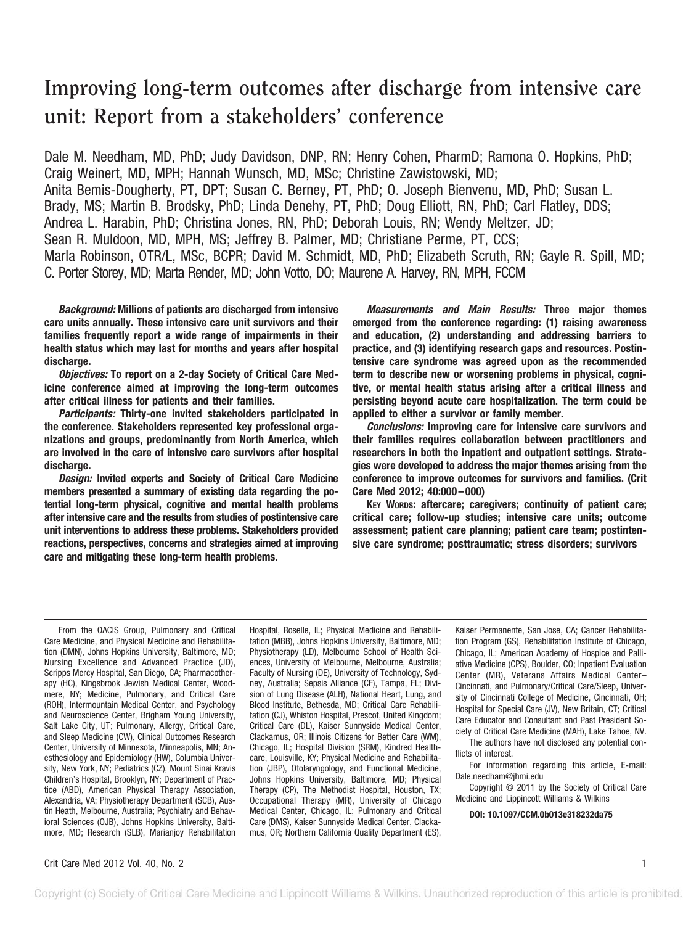# **Improving long-term outcomes after discharge from intensive care unit: Report from a stakeholders' conference**

Dale M. Needham, MD, PhD; Judy Davidson, DNP, RN; Henry Cohen, PharmD; Ramona O. Hopkins, PhD; Craig Weinert, MD, MPH; Hannah Wunsch, MD, MSc; Christine Zawistowski, MD; Anita Bemis-Dougherty, PT, DPT; Susan C. Berney, PT, PhD; O. Joseph Bienvenu, MD, PhD; Susan L. Brady, MS; Martin B. Brodsky, PhD; Linda Denehy, PT, PhD; Doug Elliott, RN, PhD; Carl Flatley, DDS; Andrea L. Harabin, PhD; Christina Jones, RN, PhD; Deborah Louis, RN; Wendy Meltzer, JD; Sean R. Muldoon, MD, MPH, MS; Jeffrey B. Palmer, MD; Christiane Perme, PT, CCS; Marla Robinson, OTR/L, MSc, BCPR; David M. Schmidt, MD, PhD; Elizabeth Scruth, RN; Gayle R. Spill, MD; C. Porter Storey, MD; Marta Render, MD; John Votto, DO; Maurene A. Harvey, RN, MPH, FCCM

*Background:* **Millions of patients are discharged from intensive care units annually. These intensive care unit survivors and their families frequently report a wide range of impairments in their health status which may last for months and years after hospital discharge.**

*Objectives:* **To report on a 2-day Society of Critical Care Medicine conference aimed at improving the long-term outcomes after critical illness for patients and their families.**

*Participants:* **Thirty-one invited stakeholders participated in the conference. Stakeholders represented key professional organizations and groups, predominantly from North America, which are involved in the care of intensive care survivors after hospital discharge.**

*Design:* **Invited experts and Society of Critical Care Medicine members presented a summary of existing data regarding the potential long-term physical, cognitive and mental health problems after intensive care and the results from studies of postintensive care unit interventions to address these problems. Stakeholders provided reactions, perspectives, concerns and strategies aimed at improving care and mitigating these long-term health problems.**

*Measurements and Main Results:* **Three major themes emerged from the conference regarding: (1) raising awareness and education, (2) understanding and addressing barriers to practice, and (3) identifying research gaps and resources. Postintensive care syndrome was agreed upon as the recommended term to describe new or worsening problems in physical, cognitive, or mental health status arising after a critical illness and persisting beyond acute care hospitalization. The term could be applied to either a survivor or family member.**

*Conclusions:* **Improving care for intensive care survivors and their families requires collaboration between practitioners and researchers in both the inpatient and outpatient settings. Strategies were developed to address the major themes arising from the conference to improve outcomes for survivors and families. (Crit Care Med 2012; 40:000 –000)**

**KEY WORDS: aftercare; caregivers; continuity of patient care; critical care; follow-up studies; intensive care units; outcome assessment; patient care planning; patient care team; postintensive care syndrome; posttraumatic; stress disorders; survivors**

From the OACIS Group, Pulmonary and Critical Care Medicine, and Physical Medicine and Rehabilitation (DMN), Johns Hopkins University, Baltimore, MD; Nursing Excellence and Advanced Practice (JD), Scripps Mercy Hospital, San Diego, CA; Pharmacotherapy (HC), Kingsbrook Jewish Medical Center, Woodmere, NY; Medicine, Pulmonary, and Critical Care (ROH), Intermountain Medical Center, and Psychology and Neuroscience Center, Brigham Young University, Salt Lake City, UT; Pulmonary, Allergy, Critical Care, and Sleep Medicine (CW), Clinical Outcomes Research Center, University of Minnesota, Minneapolis, MN; Anesthesiology and Epidemiology (HW), Columbia University, New York, NY; Pediatrics (CZ), Mount Sinai Kravis Children's Hospital, Brooklyn, NY; Department of Practice (ABD), American Physical Therapy Association, Alexandria, VA; Physiotherapy Department (SCB), Austin Heath, Melbourne, Australia; Psychiatry and Behavioral Sciences (OJB), Johns Hopkins University, Baltimore, MD; Research (SLB), Marianjoy Rehabilitation Hospital, Roselle, IL; Physical Medicine and Rehabilitation (MBB), Johns Hopkins University, Baltimore, MD; Physiotherapy (LD), Melbourne School of Health Sciences, University of Melbourne, Melbourne, Australia; Faculty of Nursing (DE), University of Technology, Sydney, Australia; Sepsis Alliance (CF), Tampa, FL; Division of Lung Disease (ALH), National Heart, Lung, and Blood Institute, Bethesda, MD; Critical Care Rehabilitation (CJ), Whiston Hospital, Prescot, United Kingdom; Critical Care (DL), Kaiser Sunnyside Medical Center, Clackamus, OR; Illinois Citizens for Better Care (WM), Chicago, IL; Hospital Division (SRM), Kindred Healthcare, Louisville, KY; Physical Medicine and Rehabilitation (JBP), Otolaryngology, and Functional Medicine, Johns Hopkins University, Baltimore, MD; Physical Therapy (CP), The Methodist Hospital, Houston, TX; Occupational Therapy (MR), University of Chicago Medical Center, Chicago, IL; Pulmonary and Critical Care (DMS), Kaiser Sunnyside Medical Center, Clackamus, OR; Northern California Quality Department (ES),

Kaiser Permanente, San Jose, CA; Cancer Rehabilitation Program (GS), Rehabilitation Institute of Chicago, Chicago, IL; American Academy of Hospice and Palliative Medicine (CPS), Boulder, CO; Inpatient Evaluation Center (MR), Veterans Affairs Medical Center– Cincinnati, and Pulmonary/Critical Care/Sleep, University of Cincinnati College of Medicine, Cincinnati, OH; Hospital for Special Care (JV), New Britain, CT; Critical Care Educator and Consultant and Past President Society of Critical Care Medicine (MAH), Lake Tahoe, NV.

The authors have not disclosed any potential conflicts of interest.

For information regarding this article, E-mail: Dale.needham@jhmi.edu

Copyright © 2011 by the Society of Critical Care Medicine and Lippincott Williams & Wilkins

**DOI: 10.1097/CCM.0b013e318232da75**

#### Crit Care Med 2012 Vol. 40, No. 2 1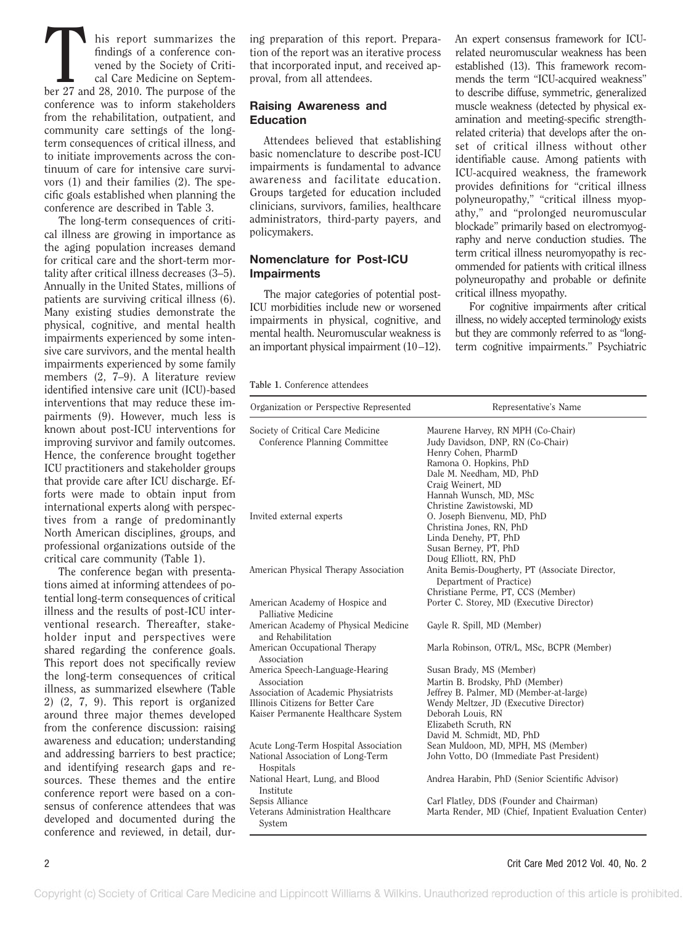This report summarizes the<br>
findings of a conference con-<br>
vened by the Society of Criti-<br>
cal Care Medicine on Septem-<br>
ber 27 and 28, 2010. The purpose of the findings of a conference convened by the Society of Critical Care Medicine on Septemconference was to inform stakeholders from the rehabilitation, outpatient, and community care settings of the longterm consequences of critical illness, and to initiate improvements across the continuum of care for intensive care survivors (1) and their families (2). The specific goals established when planning the conference are described in Table 3.

The long-term consequences of critical illness are growing in importance as the aging population increases demand for critical care and the short-term mortality after critical illness decreases (3–5). Annually in the United States, millions of patients are surviving critical illness (6). Many existing studies demonstrate the physical, cognitive, and mental health impairments experienced by some intensive care survivors, and the mental health impairments experienced by some family members (2, 7–9). A literature review identified intensive care unit (ICU)-based interventions that may reduce these impairments (9). However, much less is known about post-ICU interventions for improving survivor and family outcomes. Hence, the conference brought together ICU practitioners and stakeholder groups that provide care after ICU discharge. Efforts were made to obtain input from international experts along with perspectives from a range of predominantly North American disciplines, groups, and professional organizations outside of the critical care community (Table 1).

The conference began with presentations aimed at informing attendees of potential long-term consequences of critical illness and the results of post-ICU interventional research. Thereafter, stakeholder input and perspectives were shared regarding the conference goals. This report does not specifically review the long-term consequences of critical illness, as summarized elsewhere (Table 2) (2, 7, 9). This report is organized around three major themes developed from the conference discussion: raising awareness and education; understanding and addressing barriers to best practice; and identifying research gaps and resources. These themes and the entire conference report were based on a consensus of conference attendees that was developed and documented during the conference and reviewed, in detail, during preparation of this report. Preparation of the report was an iterative process that incorporated input, and received approval, from all attendees.

### **Raising Awareness and Education**

Attendees believed that establishing basic nomenclature to describe post-ICU impairments is fundamental to advance awareness and facilitate education. Groups targeted for education included clinicians, survivors, families, healthcare administrators, third-party payers, and policymakers.

# **Nomenclature for Post-ICU Impairments**

The major categories of potential post-ICU morbidities include new or worsened impairments in physical, cognitive, and mental health. Neuromuscular weakness is an important physical impairment (10 –12). An expert consensus framework for ICUrelated neuromuscular weakness has been established (13). This framework recommends the term "ICU-acquired weakness" to describe diffuse, symmetric, generalized muscle weakness (detected by physical examination and meeting-specific strengthrelated criteria) that develops after the onset of critical illness without other identifiable cause. Among patients with ICU-acquired weakness, the framework provides definitions for "critical illness polyneuropathy," "critical illness myopathy," and "prolonged neuromuscular blockade" primarily based on electromyography and nerve conduction studies. The term critical illness neuromyopathy is recommended for patients with critical illness polyneuropathy and probable or definite critical illness myopathy.

For cognitive impairments after critical illness, no widely accepted terminology exists but they are commonly referred to as "longterm cognitive impairments." Psychiatric

**Table 1.** Conference attendees

| Organization or Perspective Represented                                   | Representative's Name                                                           |
|---------------------------------------------------------------------------|---------------------------------------------------------------------------------|
| Society of Critical Care Medicine                                         | Maurene Harvey, RN MPH (Co-Chair)                                               |
| Conference Planning Committee                                             | Judy Davidson, DNP, RN (Co-Chair)                                               |
|                                                                           | Henry Cohen, PharmD                                                             |
|                                                                           | Ramona O. Hopkins, PhD                                                          |
|                                                                           | Dale M. Needham, MD, PhD                                                        |
|                                                                           | Craig Weinert, MD                                                               |
|                                                                           | Hannah Wunsch, MD, MSc<br>Christine Zawistowski, MD                             |
| Invited external experts                                                  | O. Joseph Bienvenu, MD, PhD                                                     |
|                                                                           | Christina Jones, RN, PhD                                                        |
|                                                                           | Linda Denehy, PT, PhD                                                           |
|                                                                           | Susan Berney, PT, PhD                                                           |
|                                                                           | Doug Elliott, RN, PhD                                                           |
| American Physical Therapy Association                                     | Anita Bemis-Dougherty, PT (Associate Director,<br>Department of Practice)       |
|                                                                           | Christiane Perme, PT, CCS (Member)                                              |
| American Academy of Hospice and<br>Palliative Medicine                    | Porter C. Storey, MD (Executive Director)                                       |
| American Academy of Physical Medicine<br>and Rehabilitation               | Gayle R. Spill, MD (Member)                                                     |
| American Occupational Therapy<br>Association                              | Marla Robinson, OTR/L, MSc, BCPR (Member)                                       |
| America Speech-Language-Hearing                                           | Susan Brady, MS (Member)                                                        |
| Association                                                               | Martin B. Brodsky, PhD (Member)                                                 |
| Association of Academic Physiatrists                                      | Jeffrey B. Palmer, MD (Member-at-large)                                         |
| Illinois Citizens for Better Care                                         | Wendy Meltzer, JD (Executive Director)                                          |
| Kaiser Permanente Healthcare System                                       | Deborah Louis, RN                                                               |
|                                                                           | Elizabeth Scruth, RN                                                            |
|                                                                           | David M. Schmidt, MD, PhD                                                       |
| Acute Long-Term Hospital Association<br>National Association of Long-Term | Sean Muldoon, MD, MPH, MS (Member)<br>John Votto, DO (Immediate Past President) |
| Hospitals<br>National Heart, Lung, and Blood<br>Institute                 | Andrea Harabin, PhD (Senior Scientific Advisor)                                 |
| Sepsis Alliance                                                           | Carl Flatley, DDS (Founder and Chairman)                                        |
| Veterans Administration Healthcare<br>System                              | Marta Render, MD (Chief, Inpatient Evaluation Center)                           |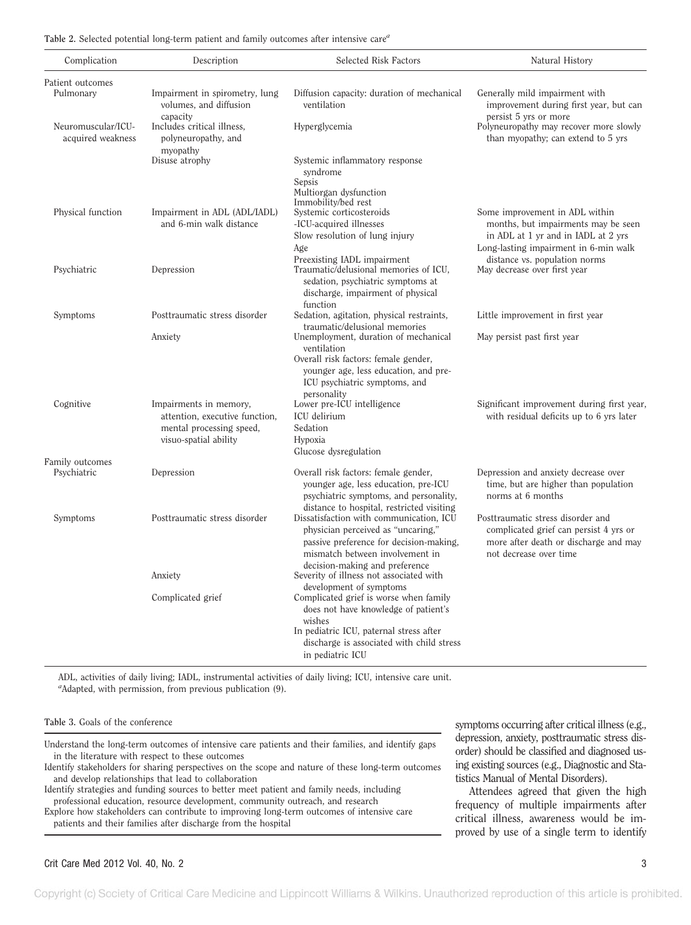| Complication                            | Description                                                                                                   | Selected Risk Factors                                                                                                                                                                                       | Natural History                                                                                                                                       |
|-----------------------------------------|---------------------------------------------------------------------------------------------------------------|-------------------------------------------------------------------------------------------------------------------------------------------------------------------------------------------------------------|-------------------------------------------------------------------------------------------------------------------------------------------------------|
| Patient outcomes<br>Pulmonary           | Impairment in spirometry, lung<br>volumes, and diffusion                                                      | Diffusion capacity: duration of mechanical<br>ventilation                                                                                                                                                   | Generally mild impairment with<br>improvement during first year, but can                                                                              |
| Neuromuscular/ICU-<br>acquired weakness | capacity<br>Includes critical illness,<br>polyneuropathy, and<br>myopathy                                     | Hyperglycemia                                                                                                                                                                                               | persist 5 yrs or more<br>Polyneuropathy may recover more slowly<br>than myopathy; can extend to 5 yrs                                                 |
|                                         | Disuse atrophy                                                                                                | Systemic inflammatory response<br>syndrome<br>Sepsis<br>Multiorgan dysfunction<br>Immobility/bed rest                                                                                                       |                                                                                                                                                       |
| Physical function                       | Impairment in ADL (ADL/IADL)<br>and 6-min walk distance                                                       | Systemic corticosteroids<br>-ICU-acquired illnesses<br>Slow resolution of lung injury<br>Age                                                                                                                | Some improvement in ADL within<br>months, but impairments may be seen<br>in ADL at 1 yr and in IADL at 2 yrs<br>Long-lasting impairment in 6-min walk |
| Psychiatric                             | Depression                                                                                                    | Preexisting IADL impairment<br>Traumatic/delusional memories of ICU,<br>sedation, psychiatric symptoms at<br>discharge, impairment of physical<br>function                                                  | distance vs. population norms<br>May decrease over first year                                                                                         |
| Symptoms                                | Posttraumatic stress disorder                                                                                 | Sedation, agitation, physical restraints,<br>traumatic/delusional memories                                                                                                                                  | Little improvement in first year                                                                                                                      |
|                                         | Anxiety                                                                                                       | Unemployment, duration of mechanical<br>ventilation<br>Overall risk factors: female gender,<br>younger age, less education, and pre-<br>ICU psychiatric symptoms, and<br>personality                        | May persist past first year                                                                                                                           |
| Cognitive                               | Impairments in memory,<br>attention, executive function,<br>mental processing speed,<br>visuo-spatial ability | Lower pre-ICU intelligence<br>ICU delirium<br>Sedation<br>Hypoxia<br>Glucose dysregulation                                                                                                                  | Significant improvement during first year,<br>with residual deficits up to 6 yrs later                                                                |
| Family outcomes                         |                                                                                                               |                                                                                                                                                                                                             |                                                                                                                                                       |
| Psychiatric                             | Depression                                                                                                    | Overall risk factors: female gender,<br>younger age, less education, pre-ICU<br>psychiatric symptoms, and personality,<br>distance to hospital, restricted visiting                                         | Depression and anxiety decrease over<br>time, but are higher than population<br>norms at 6 months                                                     |
| Symptoms                                | Posttraumatic stress disorder                                                                                 | Dissatisfaction with communication, ICU<br>physician perceived as "uncaring,"<br>passive preference for decision-making,<br>mismatch between involvement in<br>decision-making and preference               | Posttraumatic stress disorder and<br>complicated grief can persist 4 yrs or<br>more after death or discharge and may<br>not decrease over time        |
|                                         | Anxiety                                                                                                       | Severity of illness not associated with                                                                                                                                                                     |                                                                                                                                                       |
|                                         | Complicated grief                                                                                             | development of symptoms<br>Complicated grief is worse when family<br>does not have knowledge of patient's<br>wishes<br>In pediatric ICU, paternal stress after<br>discharge is associated with child stress |                                                                                                                                                       |
|                                         |                                                                                                               | in pediatric ICU                                                                                                                                                                                            |                                                                                                                                                       |

**Table 2.** Selected potential long-term patient and family outcomes after intensive care*<sup>a</sup>*

ADL, activities of daily living; IADL, instrumental activities of daily living; ICU, intensive care unit. *a* Adapted, with permission, from previous publication (9).

# **Table 3.** Goals of the conference

Understand the long-term outcomes of intensive care patients and their families, and identify gaps in the literature with respect to these outcomes

Identify stakeholders for sharing perspectives on the scope and nature of these long-term outcomes and develop relationships that lead to collaboration

Identify strategies and funding sources to better meet patient and family needs, including professional education, resource development, community outreach, and research

Explore how stakeholders can contribute to improving long-term outcomes of intensive care patients and their families after discharge from the hospital

symptoms occurring after critical illness (e.g., depression, anxiety, posttraumatic stress disorder) should be classified and diagnosed using existing sources (e.g., Diagnostic and Statistics Manual of Mental Disorders).

Attendees agreed that given the high frequency of multiple impairments after critical illness, awareness would be improved by use of a single term to identify

#### Crit Care Med 2012 Vol. 40, No. 2 3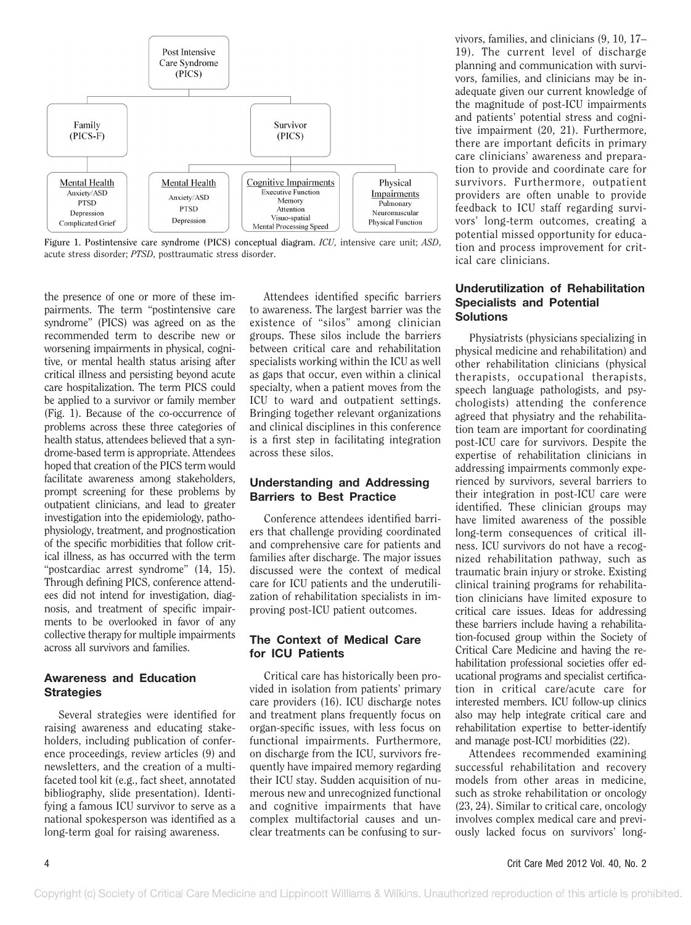

**Figure 1. Postintensive care syndrome (PICS) conceptual diagram.** *ICU*, intensive care unit; *ASD*, acute stress disorder; *PTSD*, posttraumatic stress disorder.

the presence of one or more of these impairments. The term "postintensive care syndrome" (PICS) was agreed on as the recommended term to describe new or worsening impairments in physical, cognitive, or mental health status arising after critical illness and persisting beyond acute care hospitalization. The term PICS could be applied to a survivor or family member (Fig. 1). Because of the co-occurrence of problems across these three categories of health status, attendees believed that a syndrome-based term is appropriate. Attendees hoped that creation of the PICS term would facilitate awareness among stakeholders, prompt screening for these problems by outpatient clinicians, and lead to greater investigation into the epidemiology, pathophysiology, treatment, and prognostication of the specific morbidities that follow critical illness, as has occurred with the term "postcardiac arrest syndrome" (14, 15). Through defining PICS, conference attendees did not intend for investigation, diagnosis, and treatment of specific impairments to be overlooked in favor of any collective therapy for multiple impairments across all survivors and families.

#### **Awareness and Education Strategies**

Several strategies were identified for raising awareness and educating stakeholders, including publication of conference proceedings, review articles (9) and newsletters, and the creation of a multifaceted tool kit (e.g., fact sheet, annotated bibliography, slide presentation). Identifying a famous ICU survivor to serve as a national spokesperson was identified as a long-term goal for raising awareness.

Attendees identified specific barriers to awareness. The largest barrier was the existence of "silos" among clinician groups. These silos include the barriers between critical care and rehabilitation specialists working within the ICU as well as gaps that occur, even within a clinical specialty, when a patient moves from the ICU to ward and outpatient settings. Bringing together relevant organizations and clinical disciplines in this conference is a first step in facilitating integration across these silos.

#### **Understanding and Addressing Barriers to Best Practice**

Conference attendees identified barriers that challenge providing coordinated and comprehensive care for patients and families after discharge. The major issues discussed were the context of medical care for ICU patients and the underutilization of rehabilitation specialists in improving post-ICU patient outcomes.

# **The Context of Medical Care for ICU Patients**

Critical care has historically been provided in isolation from patients' primary care providers (16). ICU discharge notes and treatment plans frequently focus on organ-specific issues, with less focus on functional impairments. Furthermore, on discharge from the ICU, survivors frequently have impaired memory regarding their ICU stay. Sudden acquisition of numerous new and unrecognized functional and cognitive impairments that have complex multifactorial causes and unclear treatments can be confusing to survivors, families, and clinicians (9, 10, 17– 19). The current level of discharge planning and communication with survivors, families, and clinicians may be inadequate given our current knowledge of the magnitude of post-ICU impairments and patients' potential stress and cognitive impairment (20, 21). Furthermore, there are important deficits in primary care clinicians' awareness and preparation to provide and coordinate care for survivors. Furthermore, outpatient providers are often unable to provide feedback to ICU staff regarding survivors' long-term outcomes, creating a potential missed opportunity for education and process improvement for critical care clinicians.

# **Underutilization of Rehabilitation Specialists and Potential Solutions**

Physiatrists (physicians specializing in physical medicine and rehabilitation) and other rehabilitation clinicians (physical therapists, occupational therapists, speech language pathologists, and psychologists) attending the conference agreed that physiatry and the rehabilitation team are important for coordinating post-ICU care for survivors. Despite the expertise of rehabilitation clinicians in addressing impairments commonly experienced by survivors, several barriers to their integration in post-ICU care were identified. These clinician groups may have limited awareness of the possible long-term consequences of critical illness. ICU survivors do not have a recognized rehabilitation pathway, such as traumatic brain injury or stroke. Existing clinical training programs for rehabilitation clinicians have limited exposure to critical care issues. Ideas for addressing these barriers include having a rehabilitation-focused group within the Society of Critical Care Medicine and having the rehabilitation professional societies offer educational programs and specialist certification in critical care/acute care for interested members. ICU follow-up clinics also may help integrate critical care and rehabilitation expertise to better-identify and manage post-ICU morbidities (22).

Attendees recommended examining successful rehabilitation and recovery models from other areas in medicine, such as stroke rehabilitation or oncology (23, 24). Similar to critical care, oncology involves complex medical care and previously lacked focus on survivors' long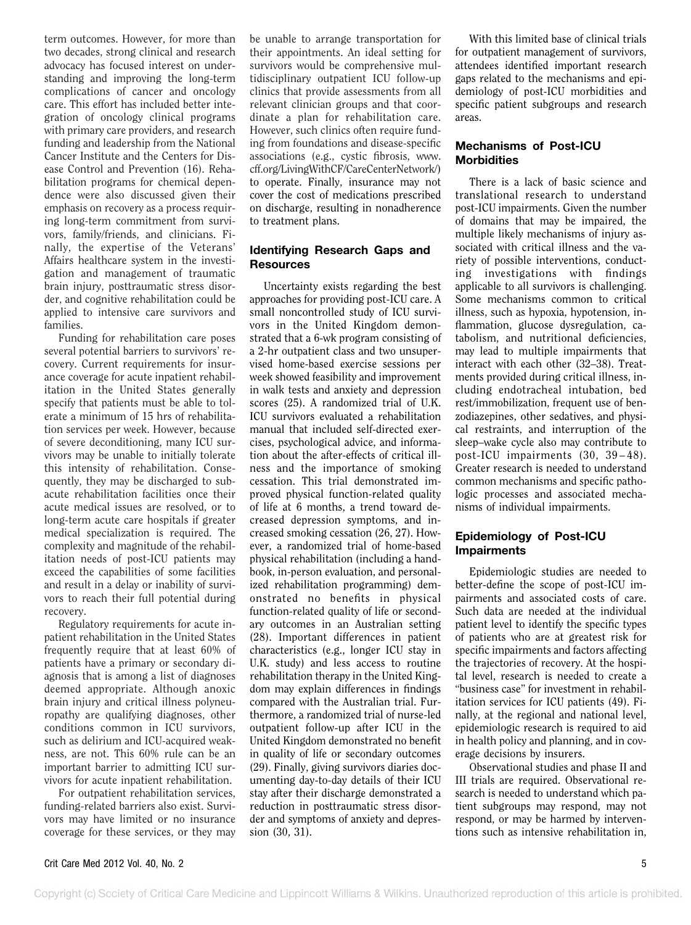term outcomes. However, for more than two decades, strong clinical and research advocacy has focused interest on understanding and improving the long-term complications of cancer and oncology care. This effort has included better integration of oncology clinical programs with primary care providers, and research funding and leadership from the National Cancer Institute and the Centers for Disease Control and Prevention (16). Rehabilitation programs for chemical dependence were also discussed given their emphasis on recovery as a process requiring long-term commitment from survivors, family/friends, and clinicians. Finally, the expertise of the Veterans' Affairs healthcare system in the investigation and management of traumatic brain injury, posttraumatic stress disorder, and cognitive rehabilitation could be applied to intensive care survivors and families.

Funding for rehabilitation care poses several potential barriers to survivors' recovery. Current requirements for insurance coverage for acute inpatient rehabilitation in the United States generally specify that patients must be able to tolerate a minimum of 15 hrs of rehabilitation services per week. However, because of severe deconditioning, many ICU survivors may be unable to initially tolerate this intensity of rehabilitation. Consequently, they may be discharged to subacute rehabilitation facilities once their acute medical issues are resolved, or to long-term acute care hospitals if greater medical specialization is required. The complexity and magnitude of the rehabilitation needs of post-ICU patients may exceed the capabilities of some facilities and result in a delay or inability of survivors to reach their full potential during recovery.

Regulatory requirements for acute inpatient rehabilitation in the United States frequently require that at least 60% of patients have a primary or secondary diagnosis that is among a list of diagnoses deemed appropriate. Although anoxic brain injury and critical illness polyneuropathy are qualifying diagnoses, other conditions common in ICU survivors, such as delirium and ICU-acquired weakness, are not. This 60% rule can be an important barrier to admitting ICU survivors for acute inpatient rehabilitation.

For outpatient rehabilitation services, funding-related barriers also exist. Survivors may have limited or no insurance coverage for these services, or they may be unable to arrange transportation for their appointments. An ideal setting for survivors would be comprehensive multidisciplinary outpatient ICU follow-up clinics that provide assessments from all relevant clinician groups and that coordinate a plan for rehabilitation care. However, such clinics often require funding from foundations and disease-specific associations (e.g., cystic fibrosis, [www.](www.cff.org/LivingWithCF/CareCenterNetwork/) [cff.org/LivingWithCF/CareCenterNetwork/\)](www.cff.org/LivingWithCF/CareCenterNetwork/) to operate. Finally, insurance may not cover the cost of medications prescribed on discharge, resulting in nonadherence to treatment plans.

#### **Identifying Research Gaps and Resources**

Uncertainty exists regarding the best approaches for providing post-ICU care. A small noncontrolled study of ICU survivors in the United Kingdom demonstrated that a 6-wk program consisting of a 2-hr outpatient class and two unsupervised home-based exercise sessions per week showed feasibility and improvement in walk tests and anxiety and depression scores (25). A randomized trial of U.K. ICU survivors evaluated a rehabilitation manual that included self-directed exercises, psychological advice, and information about the after-effects of critical illness and the importance of smoking cessation. This trial demonstrated improved physical function-related quality of life at 6 months, a trend toward decreased depression symptoms, and increased smoking cessation (26, 27). However, a randomized trial of home-based physical rehabilitation (including a handbook, in-person evaluation, and personalized rehabilitation programming) demonstrated no benefits in physical function-related quality of life or secondary outcomes in an Australian setting (28). Important differences in patient characteristics (e.g., longer ICU stay in U.K. study) and less access to routine rehabilitation therapy in the United Kingdom may explain differences in findings compared with the Australian trial. Furthermore, a randomized trial of nurse-led outpatient follow-up after ICU in the United Kingdom demonstrated no benefit in quality of life or secondary outcomes (29). Finally, giving survivors diaries documenting day-to-day details of their ICU stay after their discharge demonstrated a reduction in posttraumatic stress disorder and symptoms of anxiety and depression (30, 31).

With this limited base of clinical trials for outpatient management of survivors, attendees identified important research gaps related to the mechanisms and epidemiology of post-ICU morbidities and specific patient subgroups and research areas.

## **Mechanisms of Post-ICU Morbidities**

There is a lack of basic science and translational research to understand post-ICU impairments. Given the number of domains that may be impaired, the multiple likely mechanisms of injury associated with critical illness and the variety of possible interventions, conducting investigations with findings applicable to all survivors is challenging. Some mechanisms common to critical illness, such as hypoxia, hypotension, inflammation, glucose dysregulation, catabolism, and nutritional deficiencies, may lead to multiple impairments that interact with each other (32–38). Treatments provided during critical illness, including endotracheal intubation, bed rest/immobilization, frequent use of benzodiazepines, other sedatives, and physical restraints, and interruption of the sleep–wake cycle also may contribute to post-ICU impairments (30, 39-48). Greater research is needed to understand common mechanisms and specific pathologic processes and associated mechanisms of individual impairments.

## **Epidemiology of Post-ICU Impairments**

Epidemiologic studies are needed to better-define the scope of post-ICU impairments and associated costs of care. Such data are needed at the individual patient level to identify the specific types of patients who are at greatest risk for specific impairments and factors affecting the trajectories of recovery. At the hospital level, research is needed to create a "business case" for investment in rehabilitation services for ICU patients (49). Finally, at the regional and national level, epidemiologic research is required to aid in health policy and planning, and in coverage decisions by insurers.

Observational studies and phase II and III trials are required. Observational research is needed to understand which patient subgroups may respond, may not respond, or may be harmed by interventions such as intensive rehabilitation in,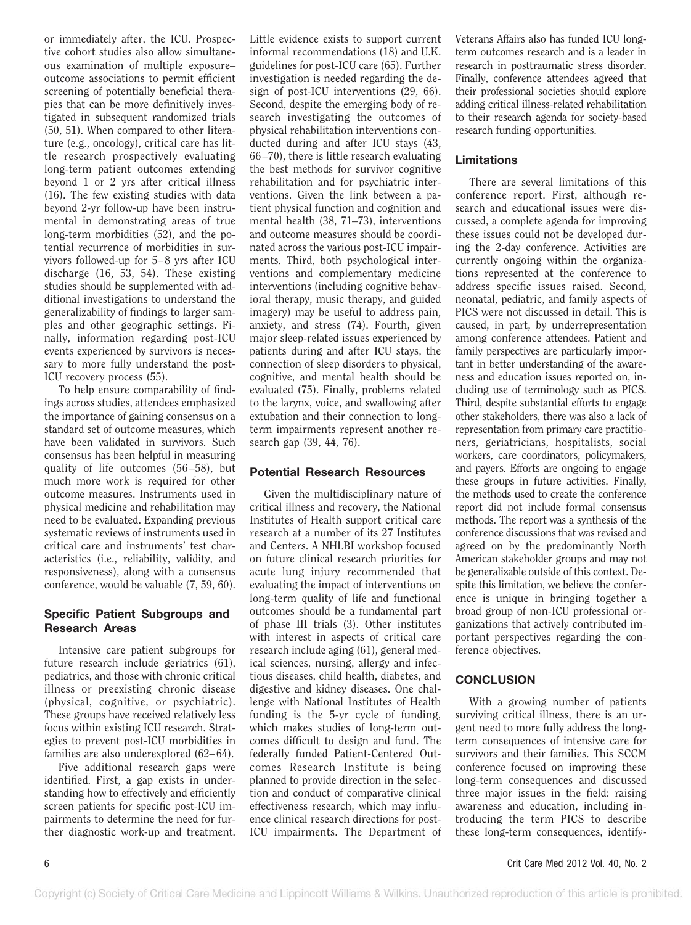or immediately after, the ICU. Prospective cohort studies also allow simultaneous examination of multiple exposure– outcome associations to permit efficient screening of potentially beneficial therapies that can be more definitively investigated in subsequent randomized trials (50, 51). When compared to other literature (e.g., oncology), critical care has little research prospectively evaluating long-term patient outcomes extending beyond 1 or 2 yrs after critical illness (16). The few existing studies with data beyond 2-yr follow-up have been instrumental in demonstrating areas of true long-term morbidities (52), and the potential recurrence of morbidities in survivors followed-up for 5–8 yrs after ICU discharge (16, 53, 54). These existing studies should be supplemented with additional investigations to understand the generalizability of findings to larger samples and other geographic settings. Finally, information regarding post-ICU events experienced by survivors is necessary to more fully understand the post-ICU recovery process (55).

To help ensure comparability of findings across studies, attendees emphasized the importance of gaining consensus on a standard set of outcome measures, which have been validated in survivors. Such consensus has been helpful in measuring quality of life outcomes (56 –58), but much more work is required for other outcome measures. Instruments used in physical medicine and rehabilitation may need to be evaluated. Expanding previous systematic reviews of instruments used in critical care and instruments' test characteristics (i.e., reliability, validity, and responsiveness), along with a consensus conference, would be valuable (7, 59, 60).

## **Specific Patient Subgroups and Research Areas**

Intensive care patient subgroups for future research include geriatrics (61), pediatrics, and those with chronic critical illness or preexisting chronic disease (physical, cognitive, or psychiatric). These groups have received relatively less focus within existing ICU research. Strategies to prevent post-ICU morbidities in families are also underexplored (62–64).

Five additional research gaps were identified. First, a gap exists in understanding how to effectively and efficiently screen patients for specific post-ICU impairments to determine the need for further diagnostic work-up and treatment. Little evidence exists to support current informal recommendations (18) and U.K. guidelines for post-ICU care (65). Further investigation is needed regarding the design of post-ICU interventions (29, 66). Second, despite the emerging body of research investigating the outcomes of physical rehabilitation interventions conducted during and after ICU stays (43, 66 –70), there is little research evaluating the best methods for survivor cognitive rehabilitation and for psychiatric interventions. Given the link between a patient physical function and cognition and mental health (38, 71–73), interventions and outcome measures should be coordinated across the various post-ICU impairments. Third, both psychological interventions and complementary medicine interventions (including cognitive behavioral therapy, music therapy, and guided imagery) may be useful to address pain, anxiety, and stress (74). Fourth, given major sleep-related issues experienced by patients during and after ICU stays, the connection of sleep disorders to physical, cognitive, and mental health should be evaluated (75). Finally, problems related to the larynx, voice, and swallowing after extubation and their connection to longterm impairments represent another research gap (39, 44, 76).

## **Potential Research Resources**

Given the multidisciplinary nature of critical illness and recovery, the National Institutes of Health support critical care research at a number of its 27 Institutes and Centers. A NHLBI workshop focused on future clinical research priorities for acute lung injury recommended that evaluating the impact of interventions on long-term quality of life and functional outcomes should be a fundamental part of phase III trials (3). Other institutes with interest in aspects of critical care research include aging (61), general medical sciences, nursing, allergy and infectious diseases, child health, diabetes, and digestive and kidney diseases. One challenge with National Institutes of Health funding is the 5-yr cycle of funding, which makes studies of long-term outcomes difficult to design and fund. The federally funded Patient-Centered Outcomes Research Institute is being planned to provide direction in the selection and conduct of comparative clinical effectiveness research, which may influence clinical research directions for post-ICU impairments. The Department of Veterans Affairs also has funded ICU longterm outcomes research and is a leader in research in posttraumatic stress disorder. Finally, conference attendees agreed that their professional societies should explore adding critical illness-related rehabilitation to their research agenda for society-based research funding opportunities.

# **Limitations**

There are several limitations of this conference report. First, although research and educational issues were discussed, a complete agenda for improving these issues could not be developed during the 2-day conference. Activities are currently ongoing within the organizations represented at the conference to address specific issues raised. Second, neonatal, pediatric, and family aspects of PICS were not discussed in detail. This is caused, in part, by underrepresentation among conference attendees. Patient and family perspectives are particularly important in better understanding of the awareness and education issues reported on, including use of terminology such as PICS. Third, despite substantial efforts to engage other stakeholders, there was also a lack of representation from primary care practitioners, geriatricians, hospitalists, social workers, care coordinators, policymakers, and payers. Efforts are ongoing to engage these groups in future activities. Finally, the methods used to create the conference report did not include formal consensus methods. The report was a synthesis of the conference discussions that was revised and agreed on by the predominantly North American stakeholder groups and may not be generalizable outside of this context. Despite this limitation, we believe the conference is unique in bringing together a broad group of non-ICU professional organizations that actively contributed important perspectives regarding the conference objectives.

# **CONCLUSION**

With a growing number of patients surviving critical illness, there is an urgent need to more fully address the longterm consequences of intensive care for survivors and their families. This SCCM conference focused on improving these long-term consequences and discussed three major issues in the field: raising awareness and education, including introducing the term PICS to describe these long-term consequences, identify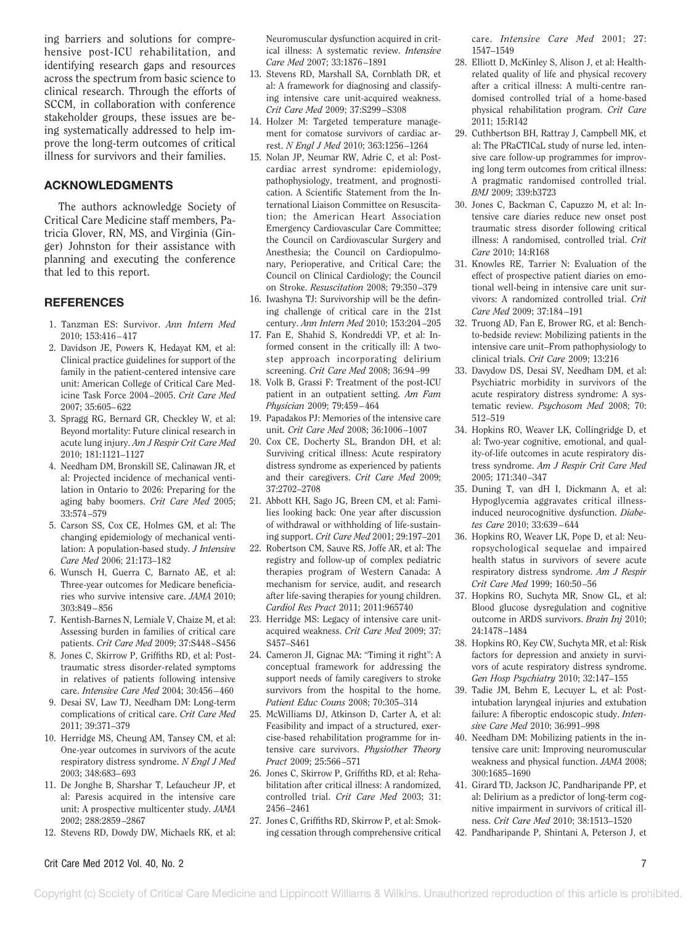ing barriers and solutions for comprehensive post-ICU rehabilitation, and identifying research gaps and resources across the spectrum from basic science to clinical research. Through the efforts of SCCM, in collaboration with conference stakeholder groups, these issues are being systematically addressed to help improve the long-term outcomes of critical illness for survivors and their families.

## **ACKNOWLEDGMENTS**

The authors acknowledge Society of Critical Care Medicine staff members, Patricia Glover, RN, MS, and Virginia (Ginger) Johnston for their assistance with planning and executing the conference that led to this report.

#### **REFERENCES**

- 1. Tanzman ES: Survivor. *Ann Intern Med* 2010; 153:416 – 417
- 2. Davidson JE, Powers K, Hedayat KM, et al: Clinical practice guidelines for support of the family in the patient-centered intensive care unit: American College of Critical Care Medicine Task Force 2004 –2005. *Crit Care Med* 2007; 35:605– 622
- 3. Spragg RG, Bernard GR, Checkley W, et al: Beyond mortality: Future clinical research in acute lung injury. *Am J Respir Crit Care Med* 2010; 181:1121–1127
- 4. Needham DM, Bronskill SE, Calinawan JR, et al: Projected incidence of mechanical ventilation in Ontario to 2026: Preparing for the aging baby boomers. *Crit Care Med* 2005; 33:574 –579
- 5. Carson SS, Cox CE, Holmes GM, et al: The changing epidemiology of mechanical ventilation: A population-based study. *J Intensive Care Med* 2006; 21:173–182
- 6. Wunsch H, Guerra C, Barnato AE, et al: Three-year outcomes for Medicare beneficiaries who survive intensive care. *JAMA* 2010; 303:849 – 856
- 7. Kentish-Barnes N, Lemiale V, Chaize M, et al: Assessing burden in families of critical care patients. *Crit Care Med* 2009; 37:S448 –S456
- 8. Jones C, Skirrow P, Griffiths RD, et al: Posttraumatic stress disorder-related symptoms in relatives of patients following intensive care. *Intensive Care Med* 2004; 30:456 – 460
- 9. Desai SV, Law TJ, Needham DM: Long-term complications of critical care. *Crit Care Med* 2011; 39:371–379
- 10. Herridge MS, Cheung AM, Tansey CM, et al: One-year outcomes in survivors of the acute respiratory distress syndrome. *N Engl J Med* 2003; 348:683– 693
- 11. De Jonghe B, Sharshar T, Lefaucheur JP, et al: Paresis acquired in the intensive care unit: A prospective multicenter study. *JAMA* 2002; 288:2859 –2867
- 12. Stevens RD, Dowdy DW, Michaels RK, et al:

Neuromuscular dysfunction acquired in critical illness: A systematic review. *Intensive Care Med* 2007; 33:1876 –1891

- 13. Stevens RD, Marshall SA, Cornblath DR, et al: A framework for diagnosing and classifying intensive care unit-acquired weakness. *Crit Care Med* 2009; 37:S299 –S308
- 14. Holzer M: Targeted temperature management for comatose survivors of cardiac arrest. *N Engl J Med* 2010; 363:1256 –1264
- 15. Nolan JP, Neumar RW, Adrie C, et al: Postcardiac arrest syndrome: epidemiology, pathophysiology, treatment, and prognostication. A Scientific Statement from the International Liaison Committee on Resuscitation; the American Heart Association Emergency Cardiovascular Care Committee; the Council on Cardiovascular Surgery and Anesthesia; the Council on Cardiopulmonary, Perioperative, and Critical Care; the Council on Clinical Cardiology; the Council on Stroke. *Resuscitation* 2008; 79:350 –379
- 16. Iwashyna TJ: Survivorship will be the defining challenge of critical care in the 21st century. *Ann Intern Med* 2010; 153:204 –205
- 17. Fan E, Shahid S, Kondreddi VP, et al: Informed consent in the critically ill: A twostep approach incorporating delirium screening. *Crit Care Med* 2008; 36:94 –99
- 18. Volk B, Grassi F: Treatment of the post-ICU patient in an outpatient setting. *Am Fam Physician* 2009; 79:459 – 464
- 19. Papadakos PJ: Memories of the intensive care unit. *Crit Care Med* 2008; 36:1006 –1007
- 20. Cox CE, Docherty SL, Brandon DH, et al: Surviving critical illness: Acute respiratory distress syndrome as experienced by patients and their caregivers. *Crit Care Med* 2009; 37:2702–2708
- 21. Abbott KH, Sago JG, Breen CM, et al: Families looking back: One year after discussion of withdrawal or withholding of life-sustaining support. *Crit Care Med* 2001; 29:197–201
- 22. Robertson CM, Sauve RS, Joffe AR, et al: The registry and follow-up of complex pediatric therapies program of Western Canada: A mechanism for service, audit, and research after life-saving therapies for young children. *Cardiol Res Pract* 2011; 2011:965740
- 23. Herridge MS: Legacy of intensive care unitacquired weakness. *Crit Care Med* 2009; 37: S457–S461
- 24. Cameron JI, Gignac MA: "Timing it right": A conceptual framework for addressing the support needs of family caregivers to stroke survivors from the hospital to the home. *Patient Educ Couns* 2008; 70:305–314
- 25. McWilliams DJ, Atkinson D, Carter A, et al: Feasibility and impact of a structured, exercise-based rehabilitation programme for intensive care survivors. *Physiother Theory Pract* 2009; 25:566 –571
- 26. Jones C, Skirrow P, Griffiths RD, et al: Rehabilitation after critical illness: A randomized, controlled trial. *Crit Care Med* 2003; 31: 2456 –2461
- 27. Jones C, Griffiths RD, Skirrow P, et al: Smoking cessation through comprehensive critical

care. *Intensive Care Med* 2001; 27: 1547–1549

- 28. Elliott D, McKinley S, Alison J, et al: Healthrelated quality of life and physical recovery after a critical illness: A multi-centre randomised controlled trial of a home-based physical rehabilitation program. *Crit Care* 2011; 15:R142
- 29. Cuthbertson BH, Rattray J, Campbell MK, et al: The PRaCTICaL study of nurse led, intensive care follow-up programmes for improving long term outcomes from critical illness: A pragmatic randomised controlled trial. *BMJ* 2009; 339:b3723
- 30. Jones C, Backman C, Capuzzo M, et al: Intensive care diaries reduce new onset post traumatic stress disorder following critical illness: A randomised, controlled trial. *Crit Care* 2010; 14:R168
- 31. Knowles RE, Tarrier N: Evaluation of the effect of prospective patient diaries on emotional well-being in intensive care unit survivors: A randomized controlled trial. *Crit Care Med* 2009; 37:184 –191
- 32. Truong AD, Fan E, Brower RG, et al: Benchto-bedside review: Mobilizing patients in the intensive care unit–From pathophysiology to clinical trials. *Crit Care* 2009; 13:216
- 33. Davydow DS, Desai SV, Needham DM, et al: Psychiatric morbidity in survivors of the acute respiratory distress syndrome: A systematic review. *Psychosom Med* 2008; 70: 512–519
- 34. Hopkins RO, Weaver LK, Collingridge D, et al: Two-year cognitive, emotional, and quality-of-life outcomes in acute respiratory distress syndrome. *Am J Respir Crit Care Med* 2005; 171:340 –347
- 35. Duning T, van dH I, Dickmann A, et al: Hypoglycemia aggravates critical illnessinduced neurocognitive dysfunction. *Diabetes Care* 2010; 33:639 – 644
- 36. Hopkins RO, Weaver LK, Pope D, et al: Neuropsychological sequelae and impaired health status in survivors of severe acute respiratory distress syndrome. *Am J Respir Crit Care Med* 1999; 160:50 –56
- 37. Hopkins RO, Suchyta MR, Snow GL, et al: Blood glucose dysregulation and cognitive outcome in ARDS survivors. *Brain Inj* 2010; 24:1478 –1484
- 38. Hopkins RO, Key CW, Suchyta MR, et al: Risk factors for depression and anxiety in survivors of acute respiratory distress syndrome. *Gen Hosp Psychiatry* 2010; 32:147–155
- 39. Tadie JM, Behm E, Lecuyer L, et al: Postintubation laryngeal injuries and extubation failure: A fiberoptic endoscopic study. *Intensive Care Med* 2010; 36:991–998
- 40. Needham DM: Mobilizing patients in the intensive care unit: Improving neuromuscular weakness and physical function. *JAMA* 2008; 300:1685–1690
- 41. Girard TD, Jackson JC, Pandharipande PP, et al: Delirium as a predictor of long-term cognitive impairment in survivors of critical illness. *Crit Care Med* 2010; 38:1513–1520
- 42. Pandharipande P, Shintani A, Peterson J, et

Crit Care Med 2012 Vol. 40, No. 2 7